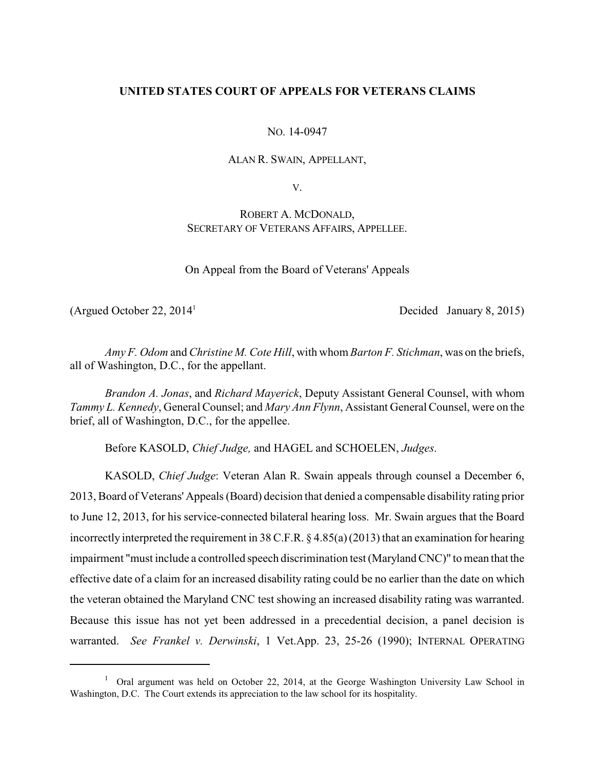# **UNITED STATES COURT OF APPEALS FOR VETERANS CLAIMS**

NO. 14-0947

### ALAN R. SWAIN, APPELLANT,

V.

# ROBERT A. MCDONALD, SECRETARY OF VETERANS AFFAIRS, APPELLEE.

On Appeal from the Board of Veterans' Appeals

(Argued October 22,  $2014<sup>1</sup>$  Decided January 8, 2015)

*Amy F. Odom* and *Christine M. Cote Hill*, with whom *Barton F. Stichman*, was on the briefs, all of Washington, D.C., for the appellant.

*Brandon A. Jonas*, and *Richard Mayerick*, Deputy Assistant General Counsel, with whom *Tammy L. Kennedy*, General Counsel; and *Mary Ann Flynn*, Assistant General Counsel, were on the brief, all of Washington, D.C., for the appellee.

Before KASOLD, *Chief Judge,* and HAGEL and SCHOELEN, *Judges*.

KASOLD, *Chief Judge*: Veteran Alan R. Swain appeals through counsel a December 6, 2013, Board of Veterans' Appeals (Board) decision that denied a compensable disability rating prior to June 12, 2013, for his service-connected bilateral hearing loss. Mr. Swain argues that the Board incorrectly interpreted the requirement in 38 C.F.R. § 4.85(a)(2013) that an examination for hearing impairment "must include a controlled speech discrimination test (Maryland CNC)" to mean that the effective date of a claim for an increased disability rating could be no earlier than the date on which the veteran obtained the Maryland CNC test showing an increased disability rating was warranted. Because this issue has not yet been addressed in a precedential decision, a panel decision is warranted. *See Frankel v. Derwinski*, 1 Vet.App. 23, 25-26 (1990); INTERNAL OPERATING

 $1$  Oral argument was held on October 22, 2014, at the George Washington University Law School in Washington, D.C. The Court extends its appreciation to the law school for its hospitality.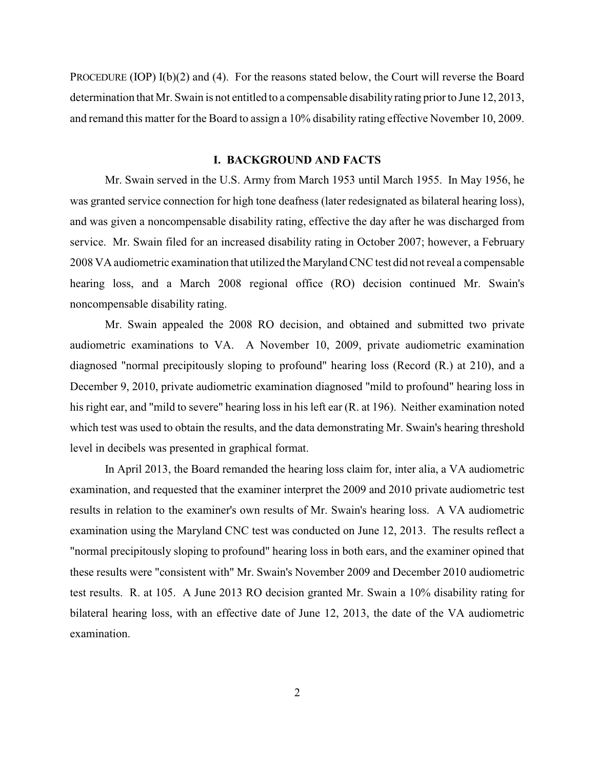PROCEDURE (IOP) I(b)(2) and (4). For the reasons stated below, the Court will reverse the Board determination that Mr. Swain is not entitled to a compensable disability rating prior to June 12, 2013, and remand this matter for the Board to assign a 10% disability rating effective November 10, 2009.

# **I. BACKGROUND AND FACTS**

Mr. Swain served in the U.S. Army from March 1953 until March 1955. In May 1956, he was granted service connection for high tone deafness (later redesignated as bilateral hearing loss), and was given a noncompensable disability rating, effective the day after he was discharged from service. Mr. Swain filed for an increased disability rating in October 2007; however, a February 2008 VA audiometric examination that utilized the Maryland CNC test did not reveal a compensable hearing loss, and a March 2008 regional office (RO) decision continued Mr. Swain's noncompensable disability rating.

Mr. Swain appealed the 2008 RO decision, and obtained and submitted two private audiometric examinations to VA. A November 10, 2009, private audiometric examination diagnosed "normal precipitously sloping to profound" hearing loss (Record (R.) at 210), and a December 9, 2010, private audiometric examination diagnosed "mild to profound" hearing loss in his right ear, and "mild to severe" hearing loss in his left ear (R. at 196). Neither examination noted which test was used to obtain the results, and the data demonstrating Mr. Swain's hearing threshold level in decibels was presented in graphical format.

In April 2013, the Board remanded the hearing loss claim for, inter alia, a VA audiometric examination, and requested that the examiner interpret the 2009 and 2010 private audiometric test results in relation to the examiner's own results of Mr. Swain's hearing loss. A VA audiometric examination using the Maryland CNC test was conducted on June 12, 2013. The results reflect a "normal precipitously sloping to profound" hearing loss in both ears, and the examiner opined that these results were "consistent with" Mr. Swain's November 2009 and December 2010 audiometric test results. R. at 105. A June 2013 RO decision granted Mr. Swain a 10% disability rating for bilateral hearing loss, with an effective date of June 12, 2013, the date of the VA audiometric examination.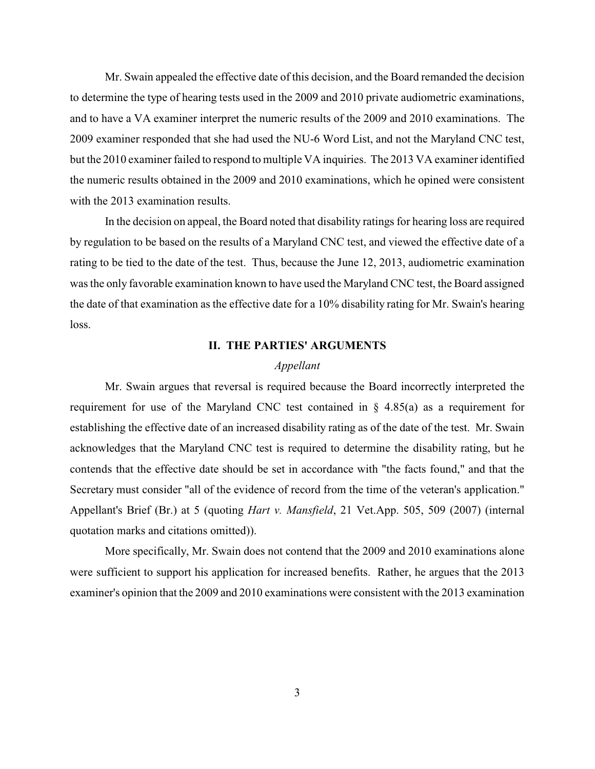Mr. Swain appealed the effective date of this decision, and the Board remanded the decision to determine the type of hearing tests used in the 2009 and 2010 private audiometric examinations, and to have a VA examiner interpret the numeric results of the 2009 and 2010 examinations. The 2009 examiner responded that she had used the NU-6 Word List, and not the Maryland CNC test, but the 2010 examiner failed to respond to multiple VA inquiries. The 2013 VA examiner identified the numeric results obtained in the 2009 and 2010 examinations, which he opined were consistent with the 2013 examination results.

In the decision on appeal, the Board noted that disability ratings for hearing loss are required by regulation to be based on the results of a Maryland CNC test, and viewed the effective date of a rating to be tied to the date of the test. Thus, because the June 12, 2013, audiometric examination was the only favorable examination known to have used the Maryland CNC test, the Board assigned the date of that examination as the effective date for a 10% disability rating for Mr. Swain's hearing loss.

### **II. THE PARTIES' ARGUMENTS**

#### *Appellant*

Mr. Swain argues that reversal is required because the Board incorrectly interpreted the requirement for use of the Maryland CNC test contained in § 4.85(a) as a requirement for establishing the effective date of an increased disability rating as of the date of the test. Mr. Swain acknowledges that the Maryland CNC test is required to determine the disability rating, but he contends that the effective date should be set in accordance with "the facts found," and that the Secretary must consider "all of the evidence of record from the time of the veteran's application." Appellant's Brief (Br.) at 5 (quoting *Hart v. Mansfield*, 21 Vet.App. 505, 509 (2007) (internal quotation marks and citations omitted)).

More specifically, Mr. Swain does not contend that the 2009 and 2010 examinations alone were sufficient to support his application for increased benefits. Rather, he argues that the 2013 examiner's opinion that the 2009 and 2010 examinations were consistent with the 2013 examination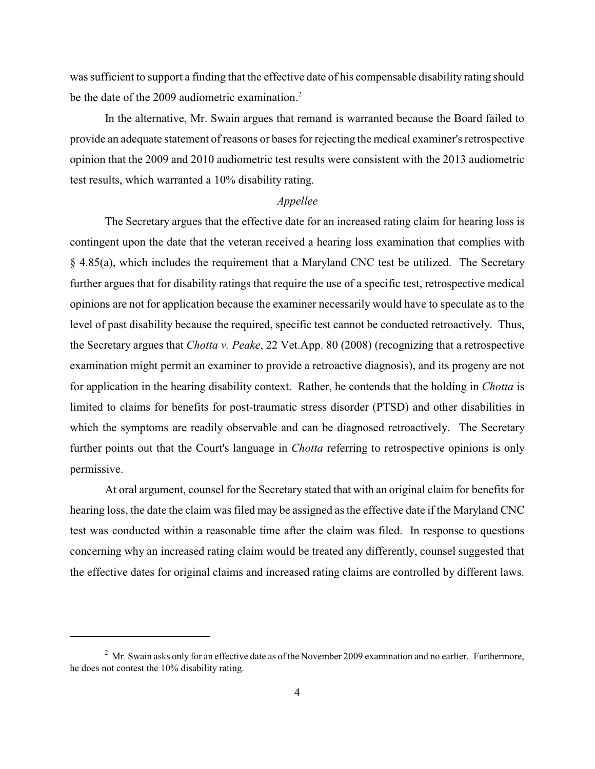was sufficient to support a finding that the effective date of his compensable disability rating should be the date of the 2009 audiometric examination.<sup>2</sup>

In the alternative, Mr. Swain argues that remand is warranted because the Board failed to provide an adequate statement of reasons or bases for rejecting the medical examiner's retrospective opinion that the 2009 and 2010 audiometric test results were consistent with the 2013 audiometric test results, which warranted a 10% disability rating.

#### *Appellee*

The Secretary argues that the effective date for an increased rating claim for hearing loss is contingent upon the date that the veteran received a hearing loss examination that complies with § 4.85(a), which includes the requirement that a Maryland CNC test be utilized. The Secretary further argues that for disability ratings that require the use of a specific test, retrospective medical opinions are not for application because the examiner necessarily would have to speculate as to the level of past disability because the required, specific test cannot be conducted retroactively. Thus, the Secretary argues that *Chotta v. Peake*, 22 Vet.App. 80 (2008) (recognizing that a retrospective examination might permit an examiner to provide a retroactive diagnosis), and its progeny are not for application in the hearing disability context. Rather, he contends that the holding in *Chotta* is limited to claims for benefits for post-traumatic stress disorder (PTSD) and other disabilities in which the symptoms are readily observable and can be diagnosed retroactively. The Secretary further points out that the Court's language in *Chotta* referring to retrospective opinions is only permissive.

At oral argument, counsel for the Secretary stated that with an original claim for benefits for hearing loss, the date the claim was filed may be assigned as the effective date if the Maryland CNC test was conducted within a reasonable time after the claim was filed. In response to questions concerning why an increased rating claim would be treated any differently, counsel suggested that the effective dates for original claims and increased rating claims are controlled by different laws.

 $^2$  Mr. Swain asks only for an effective date as of the November 2009 examination and no earlier. Furthermore, he does not contest the 10% disability rating.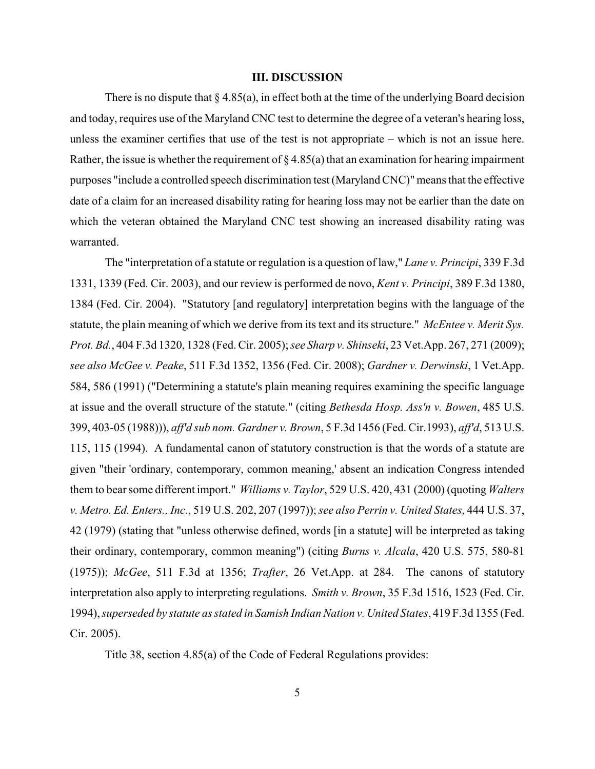#### **III. DISCUSSION**

There is no dispute that  $\S 4.85(a)$ , in effect both at the time of the underlying Board decision and today, requires use of the Maryland CNC test to determine the degree of a veteran's hearing loss, unless the examiner certifies that use of the test is not appropriate – which is not an issue here. Rather, the issue is whether the requirement of  $\S 4.85(a)$  that an examination for hearing impairment purposes "include a controlled speech discrimination test (Maryland CNC)" means that the effective date of a claim for an increased disability rating for hearing loss may not be earlier than the date on which the veteran obtained the Maryland CNC test showing an increased disability rating was warranted.

The "interpretation of a statute or regulation is a question of law," *Lane v. Principi*, 339 F.3d 1331, 1339 (Fed. Cir. 2003), and our review is performed de novo, *Kent v. Principi*, 389 F.3d 1380, 1384 (Fed. Cir. 2004). "Statutory [and regulatory] interpretation begins with the language of the statute, the plain meaning of which we derive from its text and its structure." *McEntee v. Merit Sys. Prot. Bd.*, 404 F.3d 1320, 1328 (Fed. Cir. 2005); *see Sharp v. Shinseki*, 23 Vet.App. 267, 271 (2009); *see also McGee v. Peake*, 511 F.3d 1352, 1356 (Fed. Cir. 2008); *Gardner v. Derwinski*, 1 Vet.App. 584, 586 (1991) ("Determining a statute's plain meaning requires examining the specific language at issue and the overall structure of the statute." (citing *Bethesda Hosp. Ass'n v. Bowen*, 485 U.S. 399, 403-05 (1988))), *aff'd sub nom. Gardner v. Brown*, 5 F.3d 1456 (Fed. Cir.1993), *aff'd*, 513 U.S. 115, 115 (1994). A fundamental canon of statutory construction is that the words of a statute are given "their 'ordinary, contemporary, common meaning,' absent an indication Congress intended them to bearsome different import." *Williams v. Taylor*, 529 U.S. 420, 431 (2000) (quoting *Walters v. Metro. Ed. Enters., Inc*., 519 U.S. 202, 207 (1997)); *see also Perrin v. United States*, 444 U.S. 37, 42 (1979) (stating that "unless otherwise defined, words [in a statute] will be interpreted as taking their ordinary, contemporary, common meaning") (citing *Burns v. Alcala*, 420 U.S. 575, 580-81 (1975)); *McGee*, 511 F.3d at 1356; *Trafter*, 26 Vet.App. at 284. The canons of statutory interpretation also apply to interpreting regulations. *Smith v. Brown*, 35 F.3d 1516, 1523 (Fed. Cir. 1994), *superseded by statute as stated in Samish Indian Nation v. United States*, 419 F.3d 1355 (Fed. Cir. 2005).

Title 38, section 4.85(a) of the Code of Federal Regulations provides: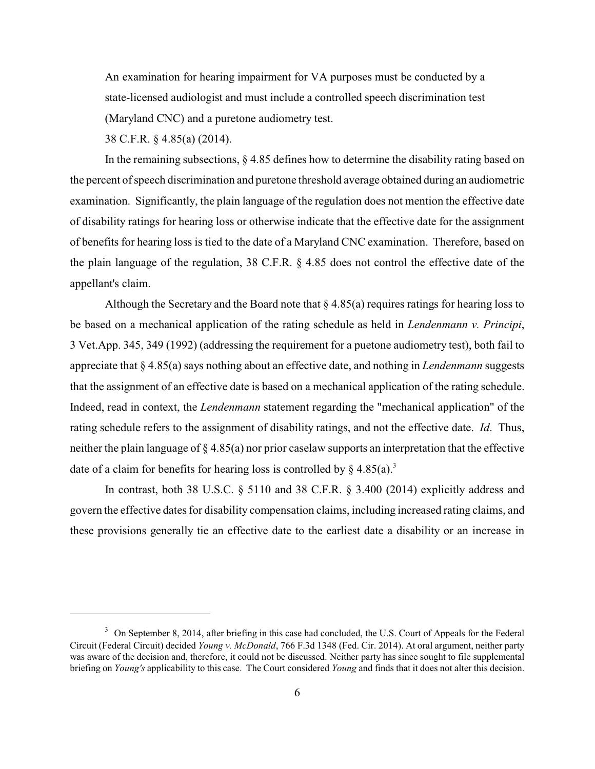An examination for hearing impairment for VA purposes must be conducted by a state-licensed audiologist and must include a controlled speech discrimination test (Maryland CNC) and a puretone audiometry test.

38 C.F.R. § 4.85(a) (2014).

In the remaining subsections, § 4.85 defines how to determine the disability rating based on the percent of speech discrimination and puretone threshold average obtained during an audiometric examination. Significantly, the plain language of the regulation does not mention the effective date of disability ratings for hearing loss or otherwise indicate that the effective date for the assignment of benefits for hearing loss is tied to the date of a Maryland CNC examination. Therefore, based on the plain language of the regulation, 38 C.F.R. § 4.85 does not control the effective date of the appellant's claim.

Although the Secretary and the Board note that  $\S 4.85(a)$  requires ratings for hearing loss to be based on a mechanical application of the rating schedule as held in *Lendenmann v. Principi*, 3 Vet.App. 345, 349 (1992) (addressing the requirement for a puetone audiometry test), both fail to appreciate that § 4.85(a) says nothing about an effective date, and nothing in *Lendenmann* suggests that the assignment of an effective date is based on a mechanical application of the rating schedule. Indeed, read in context, the *Lendenmann* statement regarding the "mechanical application" of the rating schedule refers to the assignment of disability ratings, and not the effective date. *Id*. Thus, neither the plain language of § 4.85(a) nor prior caselaw supports an interpretation that the effective date of a claim for benefits for hearing loss is controlled by  $\S$  4.85(a).<sup>3</sup>

In contrast, both 38 U.S.C. § 5110 and 38 C.F.R. § 3.400 (2014) explicitly address and govern the effective dates for disability compensation claims, including increased rating claims, and these provisions generally tie an effective date to the earliest date a disability or an increase in

<sup>&</sup>lt;sup>3</sup> On September 8, 2014, after briefing in this case had concluded, the U.S. Court of Appeals for the Federal Circuit (Federal Circuit) decided *Young v. McDonald*, 766 F.3d 1348 (Fed. Cir. 2014). At oral argument, neither party was aware of the decision and, therefore, it could not be discussed. Neither party has since sought to file supplemental briefing on *Young's* applicability to this case. The Court considered *Young* and finds that it does not alter this decision.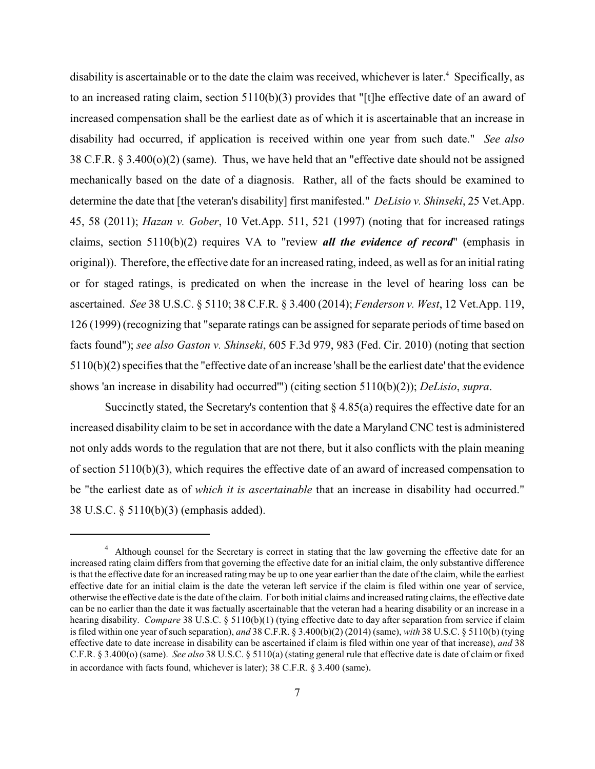disability is ascertainable or to the date the claim was received, whichever is later.<sup>4</sup> Specifically, as to an increased rating claim, section 5110(b)(3) provides that "[t]he effective date of an award of increased compensation shall be the earliest date as of which it is ascertainable that an increase in disability had occurred, if application is received within one year from such date." *See also* 38 C.F.R. § 3.400(o)(2) (same). Thus, we have held that an "effective date should not be assigned mechanically based on the date of a diagnosis. Rather, all of the facts should be examined to determine the date that [the veteran's disability] first manifested." *DeLisio v. Shinseki*, 25 Vet.App. 45, 58 (2011); *Hazan v. Gober*, 10 Vet.App. 511, 521 (1997) (noting that for increased ratings claims, section 5110(b)(2) requires VA to "review *all the evidence of record*" (emphasis in original)). Therefore, the effective date for an increased rating, indeed, as well as for an initial rating or for staged ratings, is predicated on when the increase in the level of hearing loss can be ascertained. *See* 38 U.S.C. § 5110; 38 C.F.R. § 3.400 (2014); *Fenderson v. West*, 12 Vet.App. 119, 126 (1999) (recognizing that "separate ratings can be assigned for separate periods of time based on facts found"); *see also Gaston v. Shinseki*, 605 F.3d 979, 983 (Fed. Cir. 2010) (noting that section 5110(b)(2) specifies that the "effective date of an increase 'shall be the earliest date' that the evidence shows 'an increase in disability had occurred'") (citing section 5110(b)(2)); *DeLisio*, *supra*.

Succinctly stated, the Secretary's contention that  $\S 4.85(a)$  requires the effective date for an increased disability claim to be set in accordance with the date a Maryland CNC test is administered not only adds words to the regulation that are not there, but it also conflicts with the plain meaning of section 5110(b)(3), which requires the effective date of an award of increased compensation to be "the earliest date as of *which it is ascertainable* that an increase in disability had occurred." 38 U.S.C. § 5110(b)(3) (emphasis added).

<sup>&</sup>lt;sup>4</sup> Although counsel for the Secretary is correct in stating that the law governing the effective date for an increased rating claim differs from that governing the effective date for an initial claim, the only substantive difference is that the effective date for an increased rating may be up to one year earlier than the date of the claim, while the earliest effective date for an initial claim is the date the veteran left service if the claim is filed within one year of service, otherwise the effective date is the date of the claim. For both initial claims and increased rating claims, the effective date can be no earlier than the date it was factually ascertainable that the veteran had a hearing disability or an increase in a hearing disability. *Compare* 38 U.S.C. § 5110(b)(1) (tying effective date to day after separation from service if claim is filed within one year of such separation), *and* 38 C.F.R. § 3.400(b)(2) (2014) (same), *with* 38 U.S.C. § 5110(b) (tying effective date to date increase in disability can be ascertained if claim is filed within one year of that increase), *and* 38 C.F.R. § 3.400(o) (same). *See also* 38 U.S.C. § 5110(a) (stating general rule that effective date is date of claim or fixed in accordance with facts found, whichever is later); 38 C.F.R. § 3.400 (same).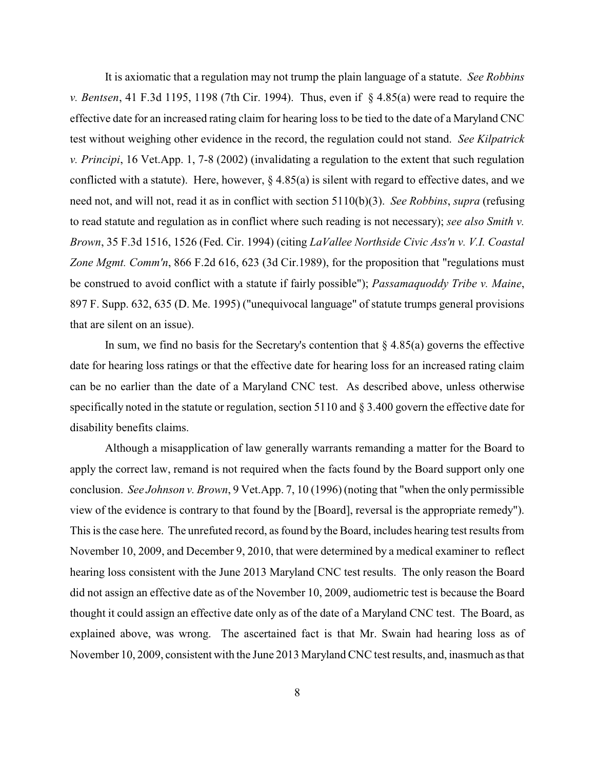It is axiomatic that a regulation may not trump the plain language of a statute. *See Robbins v. Bentsen*, 41 F.3d 1195, 1198 (7th Cir. 1994). Thus, even if § 4.85(a) were read to require the effective date for an increased rating claim for hearing loss to be tied to the date of a Maryland CNC test without weighing other evidence in the record, the regulation could not stand. *See Kilpatrick v. Principi*, 16 Vet.App. 1, 7-8 (2002) (invalidating a regulation to the extent that such regulation conflicted with a statute). Here, however,  $\S 4.85(a)$  is silent with regard to effective dates, and we need not, and will not, read it as in conflict with section 5110(b)(3). *See Robbins*, *supra* (refusing to read statute and regulation as in conflict where such reading is not necessary); *see also Smith v. Brown*, 35 F.3d 1516, 1526 (Fed. Cir. 1994) (citing *LaVallee Northside Civic Ass'n v. V.I. Coastal Zone Mgmt. Comm'n*, 866 F.2d 616, 623 (3d Cir.1989), for the proposition that "regulations must be construed to avoid conflict with a statute if fairly possible"); *Passamaquoddy Tribe v. Maine*, 897 F. Supp. 632, 635 (D. Me. 1995) ("unequivocal language" of statute trumps general provisions that are silent on an issue).

In sum, we find no basis for the Secretary's contention that  $\S 4.85(a)$  governs the effective date for hearing loss ratings or that the effective date for hearing loss for an increased rating claim can be no earlier than the date of a Maryland CNC test. As described above, unless otherwise specifically noted in the statute or regulation, section 5110 and § 3.400 govern the effective date for disability benefits claims.

Although a misapplication of law generally warrants remanding a matter for the Board to apply the correct law, remand is not required when the facts found by the Board support only one conclusion. *See Johnson v. Brown*, 9 Vet.App. 7, 10 (1996) (noting that "when the only permissible view of the evidence is contrary to that found by the [Board], reversal is the appropriate remedy"). This is the case here. The unrefuted record, as found by the Board, includes hearing test results from November 10, 2009, and December 9, 2010, that were determined by a medical examiner to reflect hearing loss consistent with the June 2013 Maryland CNC test results. The only reason the Board did not assign an effective date as of the November 10, 2009, audiometric test is because the Board thought it could assign an effective date only as of the date of a Maryland CNC test. The Board, as explained above, was wrong. The ascertained fact is that Mr. Swain had hearing loss as of November 10, 2009, consistent with the June 2013 Maryland CNC test results, and, inasmuch as that